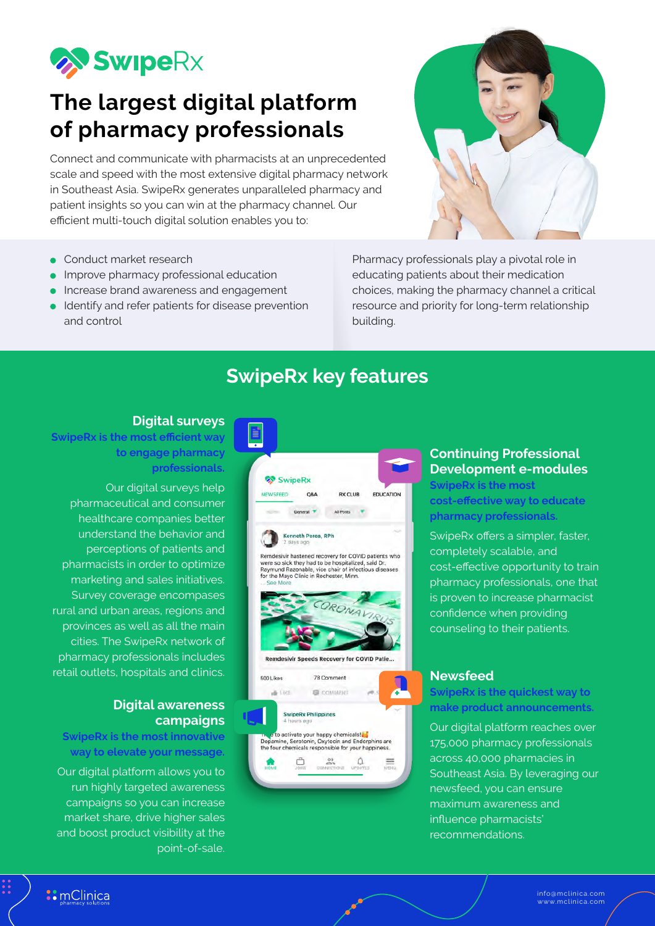

# **The largest digital platform of pharmacy professionals**

Connect and communicate with pharmacists at an unprecedented scale and speed with the most extensive digital pharmacy network in Southeast Asia. SwipeRx generates unparalleled pharmacy and patient insights so you can win at the pharmacy channel. Our efficient multi-touch digital solution enables you to:

- Conduct market research
- Improve pharmacy professional education
- Increase brand awareness and engagement
- Identify and refer patients for disease prevention and control

Pharmacy professionals play a pivotal role in educating patients about their medication choices, making the pharmacy channel a critical resource and priority for long-term relationship building.

## **SwipeRx key features**

#### **Digital surveys**

**SwipeRx is the most efficient way to engage pharmacy professionals.**

Our digital surveys help pharmaceutical and consumer healthcare companies better understand the behavior and perceptions of patients and pharmacists in order to optimize marketing and sales initiatives. Survey coverage encompases rural and urban areas, regions and provinces as well as all the main cities. The SwipeRx network of pharmacy professionals includes retail outlets, hospitals and clinics.

#### **Digital awareness campaigns**

**SwipeRx is the most innovative way to elevate your message.**

Our digital platform allows you to run highly targeted awareness campaigns so you can increase market share, drive higher sales and boost product visibility at the point-of-sale.



#### **Continuing Professional Development e-modules**

**SwipeRx is the most cost-effective way to educate pharmacy professionals.**

SwipeRx offers a simpler, faster, completely scalable, and cost-effective opportunity to train pharmacy professionals, one that is proven to increase pharmacist confidence when providing counseling to their patients.

#### **Newsfeed**

#### **SwipeRx is the quickest way to make product announcements.**

Our digital platform reaches over 175,000 pharmacy professionals across 40,000 pharmacies in Southeast Asia. By leveraging our newsfeed, you can ensure maximum awareness and influence pharmacists' recommendations.